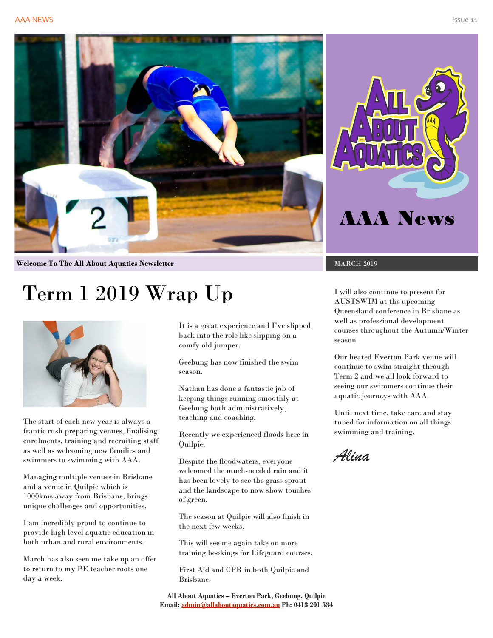



**Welcome To The All About Aquatics Newsletter MARCH 2019** MARCH 2019

# Term 1 2019 Wrap Up



The start of each new year is always a frantic rush preparing venues, finalising enrolments, training and recruiting staff as well as welcoming new families and swimmers to swimming with AAA.

Managing multiple venues in Brisbane and a venue in Quilpie which is 1000kms away from Brisbane, brings unique challenges and opportunities.

I am incredibly proud to continue to provide high level aquatic education in both urban and rural environments.

March has also seen me take up an offer to return to my PE teacher roots one day a week.

It is a great experience and I've slipped back into the role like slipping on a comfy old jumper.

Geebung has now finished the swim season.

Nathan has done a fantastic job of keeping things running smoothly at Geebung both administratively, teaching and coaching.

Recently we experienced floods here in Quilpie.

Despite the floodwaters, everyone welcomed the much-needed rain and it has been lovely to see the grass sprout and the landscape to now show touches of green.

The season at Quilpie will also finish in the next few weeks.

This will see me again take on more training bookings for Lifeguard courses,

First Aid and CPR in both Quilpie and Brisbane.

**All About Aquatics – Everton Park, Geebung, Quilpie Email[: admin@allaboutaquatics.com.au](mailto:admin@allaboutaquatics.com.au) Ph: 0413 201 534**

I will also continue to present for AUSTSWIM at the upcoming Queensland conference in Brisbane as well as professional development courses throughout the Autumn/Winter season.

Our heated Everton Park venue will continue to swim straight through Term 2 and we all look forward to seeing our swimmers continue their aquatic journeys with AAA.

Until next time, take care and stay tuned for information on all things swimming and training.

*Alina*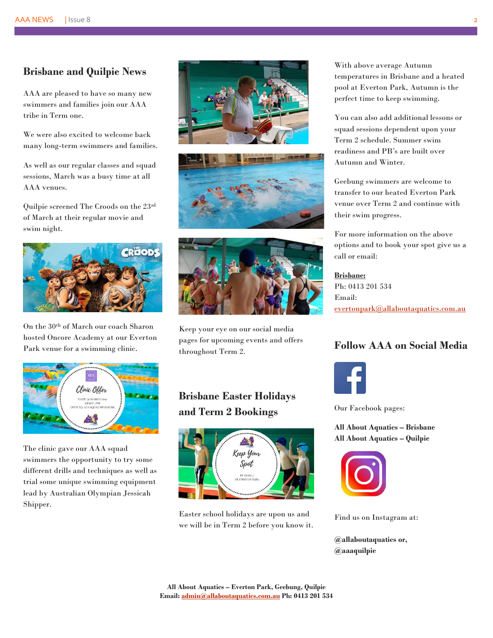#### **Brisbane and Quilpie News**

AAA are pleased to have so many new swimmers and families join our AAA tribe in Term one.

We were also excited to welcome back many long-term swimmers and families.

As well as our regular classes and squad sessions, March was a busy time at all AAA venues.

Quilpie screened The Croods on the 23rd of March at their regular movie and swim night.



On the 30th of March our coach Sharon hosted Oncore Academy at our Everton Park venue for a swimming clinic.



The clinic gave our AAA squad swimmers the opportunity to try some different drills and techniques as well as trial some unique swimming equipment lead by Australian Olympian Jessicah Shipper.







Keep your eye on our social media pages for upcoming events and offers throughout Term 2.

### **Brisbane Easter Holidays and Term 2 Bookings**



Easter school holidays are upon us and we will be in Term 2 before you know it. With above average Autumn temperatures in Brisbane and a heated pool at Everton Park, Autumn is the perfect time to keep swimming.

You can also add additional lessons or squad sessions dependent upon your Term 2 schedule. Summer swim readiness and PB's are built over Autumn and Winter.

Geebung swimmers are welcome to transfer to our heated Everton Park venue over Term 2 and continue with their swim progress.

For more information on the above options and to book your spot give us a call or email:

#### **Brisbane:**

Ph: 0413 201 534 Email: [evertonpark@allaboutaquatics.com.au](mailto:evertonpark@allaboutaquatics.com.au)

#### **Follow AAA on Social Media**



Our Facebook pages:

**All About Aquatics – Brisbane All About Aquatics – Quilpie**



Find us on Instagram at:

**@allaboutaquatics or, @aaaquilpie**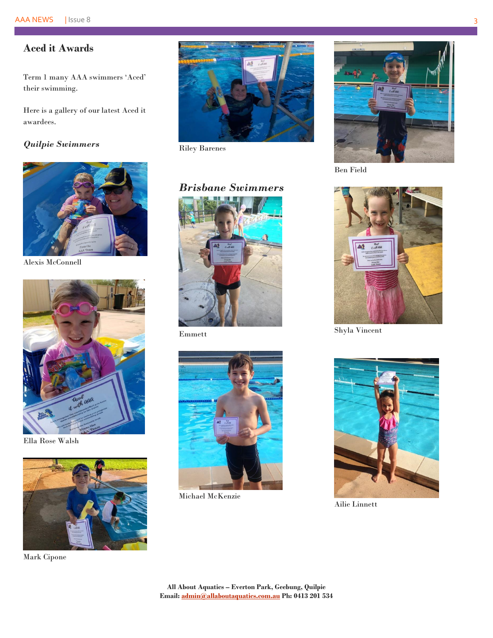## **Aced it Awards**

Term 1 many AAA swimmers 'Aced' their swimming.

Here is a gallery of our latest Aced it awardees.

#### *Quilpie Swimmers*



Alexis McConnell



Ella Rose Walsh



Mark Cipone



Riley Barenes

# *Brisbane Swimmers*



Emmett



Michael McKenzie



Ben Field



Shyla Vincent



Ailie Linnett